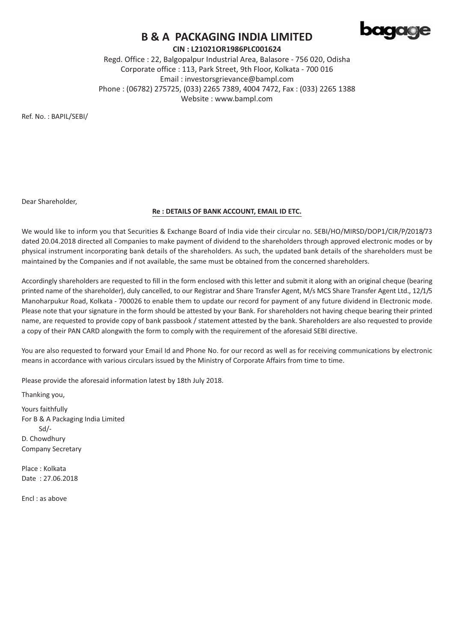

## **B & A PACKAGING INDIA LIMITED**

CIN: L21021OR1986PLC001624

Regd. Office: 22, Balgopalpur Industrial Area, Balasore - 756 020, Odisha Corporate office: 113, Park Street, 9th Floor, Kolkata - 700 016 Email: investorsgrievance@bampl.com Phone: (06782) 275725, (033) 2265 7389, 4004 7472, Fax: (033) 2265 1388 Website: www.bampl.com

Ref. No.: BAPIL/SEBI/

Dear Shareholder,

#### Re : DETAILS OF BANK ACCOUNT, EMAIL ID ETC.

We would like to inform you that Securities & Exchange Board of India vide their circular no. SEBI/HO/MIRSD/DOP1/CIR/P/2018/73 dated 20.04.2018 directed all Companies to make payment of dividend to the shareholders through approved electronic modes or by physical instrument incorporating bank details of the shareholders. As such, the updated bank details of the shareholders must be maintained by the Companies and if not available, the same must be obtained from the concerned shareholders.

Accordingly shareholders are requested to fill in the form enclosed with this letter and submit it along with an original cheque (bearing printed name of the shareholder), duly cancelled, to our Registrar and Share Transfer Agent, M/s MCS Share Transfer Agent Ltd., 12/1/5 Manoharpukur Road, Kolkata - 700026 to enable them to update our record for payment of any future dividend in Electronic mode. Please note that your signature in the form should be attested by your Bank. For shareholders not having cheque bearing their printed name, are requested to provide copy of bank passbook / statement attested by the bank. Shareholders are also requested to provide a copy of their PAN CARD alongwith the form to comply with the requirement of the aforesaid SEBI directive.

You are also requested to forward your Email Id and Phone No. for our record as well as for receiving communications by electronic means in accordance with various circulars issued by the Ministry of Corporate Affairs from time to time.

Please provide the aforesaid information latest by 18th July 2018.

Thanking you,

Yours faithfully For B & A Packaging India Limited  $Sd$ D. Chowdhurv **Company Secretary** 

Place: Kolkata Date: 27.06.2018

Fncl: as above